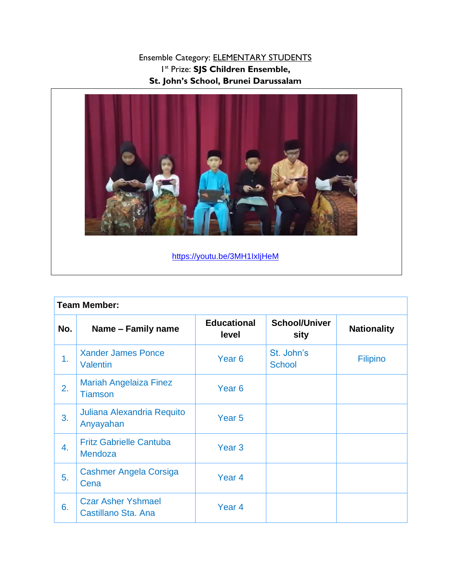## Ensemble Category: ELEMENTARY STUDENTS 1 st Prize: **SJS Children Ensemble, St. John's School, Brunei Darussalam**



<https://youtu.be/3MH1IxIjHeM>

| <b>Team Member:</b> |                                                  |                             |                              |                    |
|---------------------|--------------------------------------------------|-----------------------------|------------------------------|--------------------|
| No.                 | Name – Family name                               | <b>Educational</b><br>level | <b>School/Univer</b><br>sity | <b>Nationality</b> |
| 1.                  | <b>Xander James Ponce</b><br><b>Valentin</b>     | Year <sub>6</sub>           | St. John's<br><b>School</b>  | <b>Filipino</b>    |
| 2.                  | <b>Mariah Angelaiza Finez</b><br><b>Tiamson</b>  | Year <sub>6</sub>           |                              |                    |
| 3.                  | Juliana Alexandria Requito<br>Anyayahan          | Year <sub>5</sub>           |                              |                    |
| 4.                  | <b>Fritz Gabrielle Cantuba</b><br>Mendoza        | Year <sub>3</sub>           |                              |                    |
| 5.                  | <b>Cashmer Angela Corsiga</b><br>Cena            | Year <sub>4</sub>           |                              |                    |
| 6.                  | <b>Czar Asher Yshmael</b><br>Castillano Sta. Ana | Year <sub>4</sub>           |                              |                    |